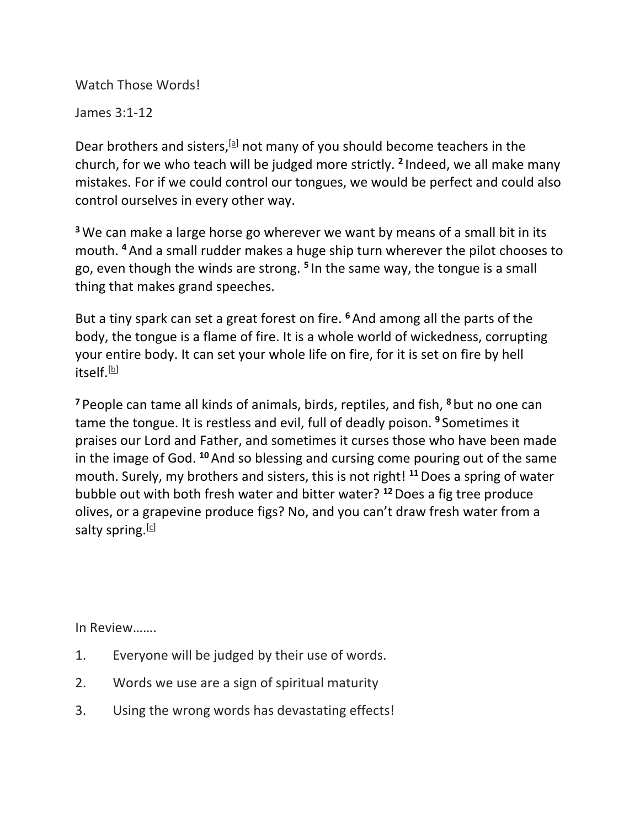Watch Those Words!

James 3:1-12

Dear brothers and sisters, [a] not many of you should become teachers in the church, for we who teach will be judged more strictly. **<sup>2</sup>** Indeed, we all make many mistakes. For if we could control our tongues, we would be perfect and could also control ourselves in every other way.

**<sup>3</sup>**We can make a large horse go wherever we want by means of a small bit in its mouth. **<sup>4</sup>**And a small rudder makes a huge ship turn wherever the pilot chooses to go, even though the winds are strong. **<sup>5</sup>** In the same way, the tongue is a small thing that makes grand speeches.

But a tiny spark can set a great forest on fire. **<sup>6</sup>**And among all the parts of the body, the tongue is a flame of fire. It is a whole world of wickedness, corrupting your entire body. It can set your whole life on fire, for it is set on fire by hell itself.<sup>[b]</sup>

**<sup>7</sup>** People can tame all kinds of animals, birds, reptiles, and fish, **<sup>8</sup>** but no one can tame the tongue. It is restless and evil, full of deadly poison. **<sup>9</sup>** Sometimes it praises our Lord and Father, and sometimes it curses those who have been made in the image of God. **<sup>10</sup>**And so blessing and cursing come pouring out of the same mouth. Surely, my brothers and sisters, this is not right! **<sup>11</sup>**Does a spring of water bubble out with both fresh water and bitter water? **<sup>12</sup>**Does a fig tree produce olives, or a grapevine produce figs? No, and you can't draw fresh water from a salty spring.  $[c]$ 

In Review…….

- 1. Everyone will be judged by their use of words.
- 2. Words we use are a sign of spiritual maturity
- 3. Using the wrong words has devastating effects!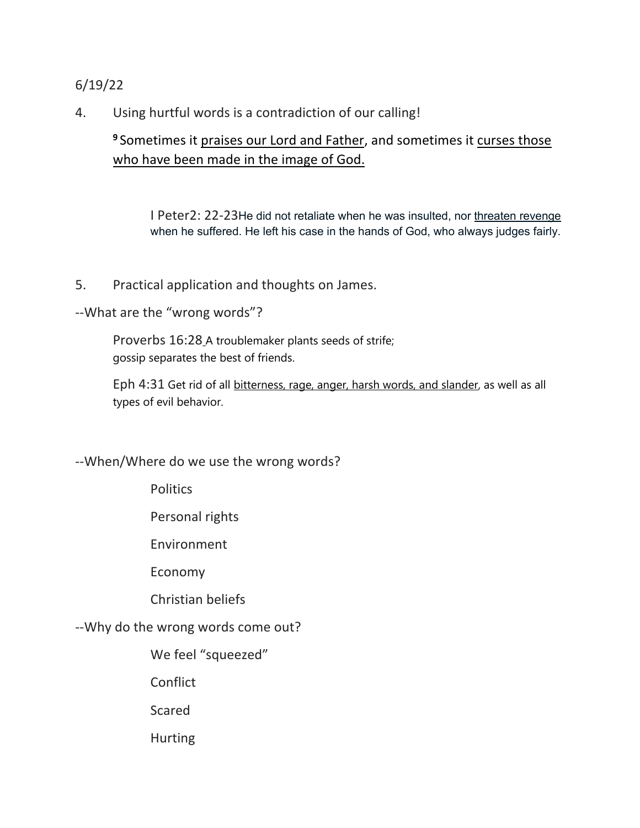## 6/19/22

4. Using hurtful words is a contradiction of our calling!

## **<sup>9</sup>** Sometimes it praises our Lord and Father, and sometimes it curses those who have been made in the image of God.

I Peter2: 22-23He did not retaliate when he was insulted, nor threaten revenge when he suffered. He left his case in the hands of God, who always judges fairly.

- 5. Practical application and thoughts on James.
- --What are the "wrong words"?

Proverbs 16:28 A troublemaker plants seeds of strife; gossip separates the best of friends.

Eph 4:31 Get rid of all bitterness, rage, anger, harsh words, and slander, as well as all types of evil behavior.

--When/Where do we use the wrong words?

**Politics** 

Personal rights

Environment

Economy

Christian beliefs

--Why do the wrong words come out?

We feel "squeezed"

**Conflict** 

Scared

Hurting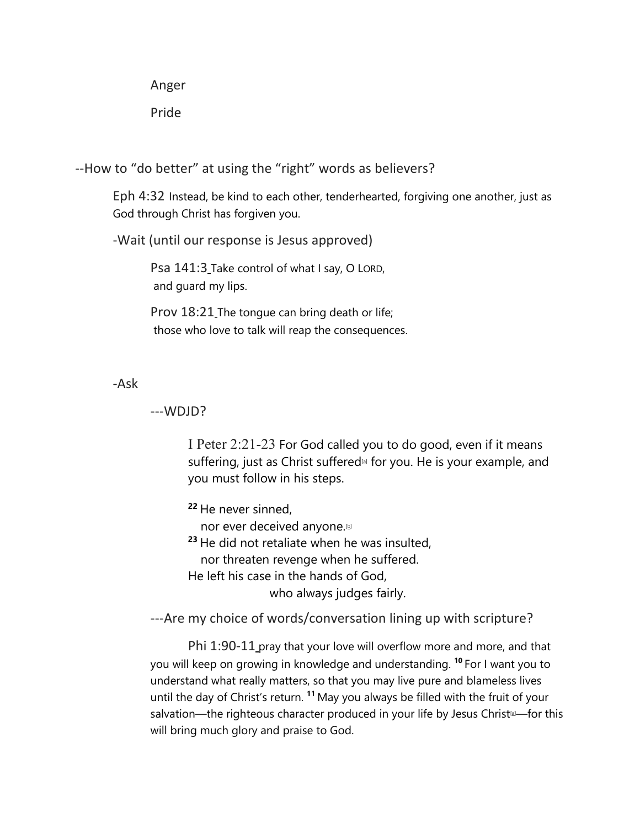Anger

Pride

--How to "do better" at using the "right" words as believers?

Eph 4:32 Instead, be kind to each other, tenderhearted, forgiving one another, just as God through Christ has forgiven you.

-Wait (until our response is Jesus approved)

Psa 141:3\_Take control of what I say, O LORD, and guard my lips.

Prov 18:21 The tongue can bring death or life; those who love to talk will reap the consequences.

-Ask

## ---WDJD?

I Peter 2:21-23 For God called you to do good, even if it means suffering, just as Christ suffered<sup>®</sup> for you. He is your example, and you must follow in his steps.

**<sup>22</sup>** He never sinned,

nor ever deceived anyone.<sup>[b]</sup>

**<sup>23</sup>** He did not retaliate when he was insulted,

nor threaten revenge when he suffered.

He left his case in the hands of God,

who always judges fairly.

---Are my choice of words/conversation lining up with scripture?

Phi 1:90-11 pray that your love will overflow more and more, and that you will keep on growing in knowledge and understanding. **<sup>10</sup>** For I want you to understand what really matters, so that you may live pure and blameless lives until the day of Christ's return. **<sup>11</sup>** May you always be filled with the fruit of your salvation—the righteous character produced in your life by Jesus Christ $\Box$ —for this will bring much glory and praise to God.